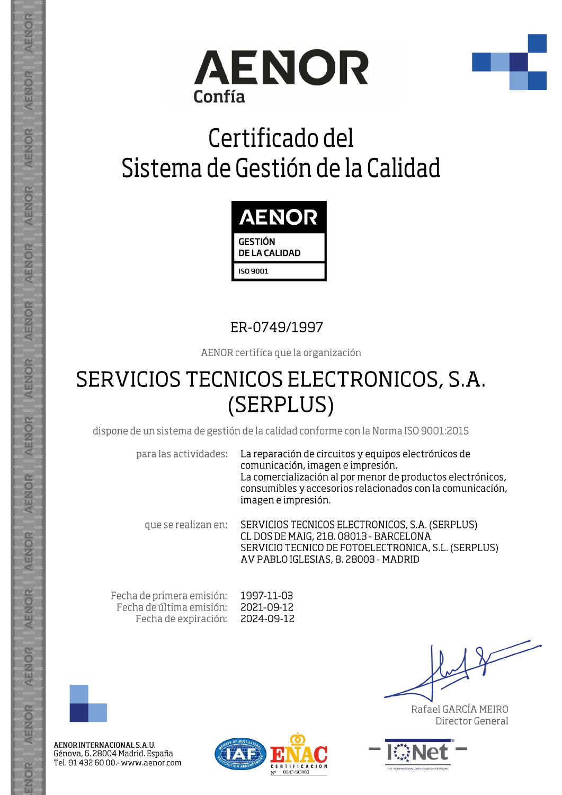



## Certificado del Sistema de Gestión de la Calidad



## ER-0749/1997

AENOR certifica que la organización

## SERVICIOS TECNICOS ELECTRONICOS, S.A. (SERPLUS)

dispone de un sistema de gestión de la calidad conforme con la Norma ISO 9001:2015

para las actividades:

La reparación de circuitos y equipos electrónicos de comunicación, imagen e impresión. La comercialización al por menor de productos electrónicos, consumibles y accesorios relacionados con la comunicación, imagen e impresión.

SERVICIOS TECNICOS ELECTRONICOS, S.A. (SERPLUS) que se realizan en: CL DOS DE MAIG, 218. 08013 - BARCELONA SERVICIO TECNICO DE FOTOELECTRONICA, S.L. (SERPLUS) AV PABLO IGLESIAS, 8, 28003 - MADRID

Fecha de primera emisión: Fecha de última emisión: Fecha de expiración:

1997-11-03 2021-09-12 2024-09-12



AENOR

ENOR

AENOR

**AENOR** 

AENOR

AENOR

**AENOR** 

AENOR

AENOR

AENOR

**AENOR** 

AENOR

AENOR

ENOR

AENOR INTERNACIONAL S.A.U. Génova, 6. 28004 Madrid. España Tel. 91 432 60 00.- www.aenor.com



Rafael GARCÍA MEIRO Director General